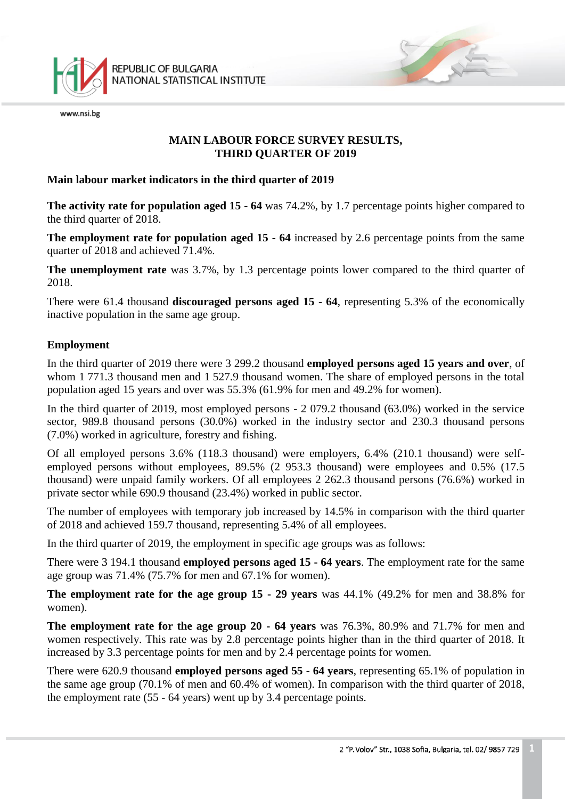

www.nsi.be

#### **MAIN LABOUR FORCE SURVEY RESULTS, THIRD QUARTER OF 2019**

#### **Main labour market indicators in the third quarter of 2019**

**The activity rate for population aged 15 - 64** was 74.2%, by 1.7 percentage points higher compared to the third quarter of 2018.

**The employment rate for population aged 15 - 64** increased by 2.6 percentage points from the same quarter of 2018 and achieved 71.4%.

**The unemployment rate** was 3.7%, by 1.3 percentage points lower compared to the third quarter of 2018.

There were 61.4 thousand **discouraged persons aged 15 - 64**, representing 5.3% of the economically inactive population in the same age group.

#### **Employment**

In the third quarter of 2019 there were 3 299.2 thousand **employed persons aged 15 years and over**, of whom 1 771.3 thousand men and 1 527.9 thousand women. The share of employed persons in the total population aged 15 years and over was 55.3% (61.9% for men and 49.2% for women).

In the third quarter of 2019, most employed persons - 2 079.2 thousand (63.0%) worked in the service sector, 989.8 thousand persons (30.0%) worked in the industry sector and 230.3 thousand persons (7.0%) worked in agriculture, forestry and fishing.

Of all employed persons 3.6% (118.3 thousand) were employers, 6.4% (210.1 thousand) were selfemployed persons without employees, 89.5% (2 953.3 thousand) were employees and 0.5% (17.5 thousand) were unpaid family workers. Of all employees 2 262.3 thousand persons (76.6%) worked in private sector while 690.9 thousand (23.4%) worked in public sector.

The number of employees with temporary job increased by 14.5% in comparison with the third quarter of 2018 and achieved 159.7 thousand, representing 5.4% of all employees.

In the third quarter of 2019, the employment in specific age groups was as follows:

There were 3 194.1 thousand **employed persons aged 15 - 64 years**. The employment rate for the same age group was 71.4% (75.7% for men and 67.1% for women).

**The employment rate for the age group 15 - 29 years** was 44.1% (49.2% for men and 38.8% for women).

**The employment rate for the age group 20 - 64 years** was 76.3%, 80.9% and 71.7% for men and women respectively. This rate was by 2.8 percentage points higher than in the third quarter of 2018. It increased by 3.3 percentage points for men and by 2.4 percentage points for women.

There were 620.9 thousand **employed persons aged 55 - 64 years**, representing 65.1% of population in the same age group (70.1% of men and 60.4% of women). In comparison with the third quarter of 2018, the employment rate (55 - 64 years) went up by 3.4 percentage points.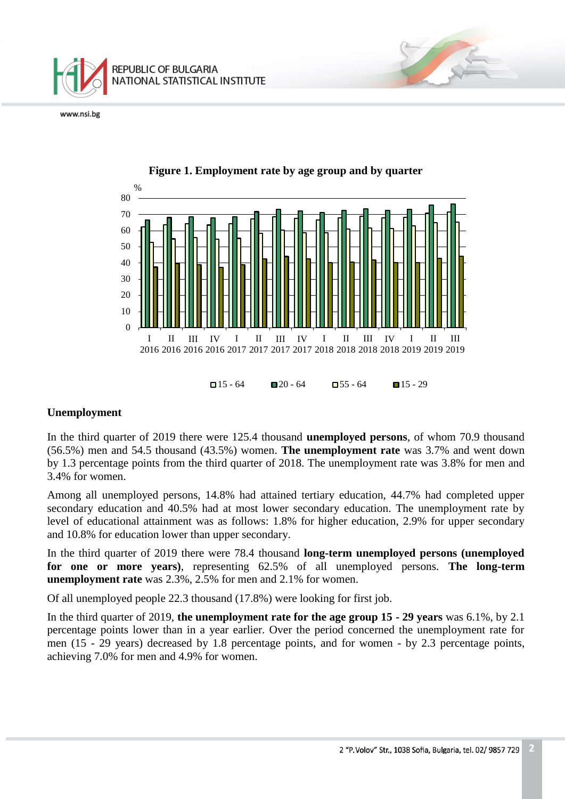



# **Figure 1. Employment rate by age group and by quarter**

#### **Unemployment**

In the third quarter of 2019 there were 125.4 thousand **unemployed persons**, of whom 70.9 thousand (56.5%) men and 54.5 thousand (43.5%) women. **The unemployment rate** was 3.7% and went down by 1.3 percentage points from the third quarter of 2018. The unemployment rate was 3.8% for men and 3.4% for women.

Among all unemployed persons, 14.8% had attained tertiary education, 44.7% had completed upper secondary education and 40.5% had at most lower secondary education. The unemployment rate by level of educational attainment was as follows: 1.8% for higher education, 2.9% for upper secondary and 10.8% for education lower than upper secondary.

In the third quarter of 2019 there were 78.4 thousand **long-term unemployed persons (unemployed for one or more years)**, representing 62.5% of all unemployed persons. **The long-term unemployment rate** was 2.3%, 2.5% for men and 2.1% for women.

Of all unemployed people 22.3 thousand (17.8%) were looking for first job.

In the third quarter of 2019, **the unemployment rate for the age group 15 - 29 years** was 6.1%, by 2.1 percentage points lower than in a year earlier. Over the period concerned the unemployment rate for men (15 - 29 years) decreased by 1.8 percentage points, and for women - by 2.3 percentage points, achieving 7.0% for men and 4.9% for women.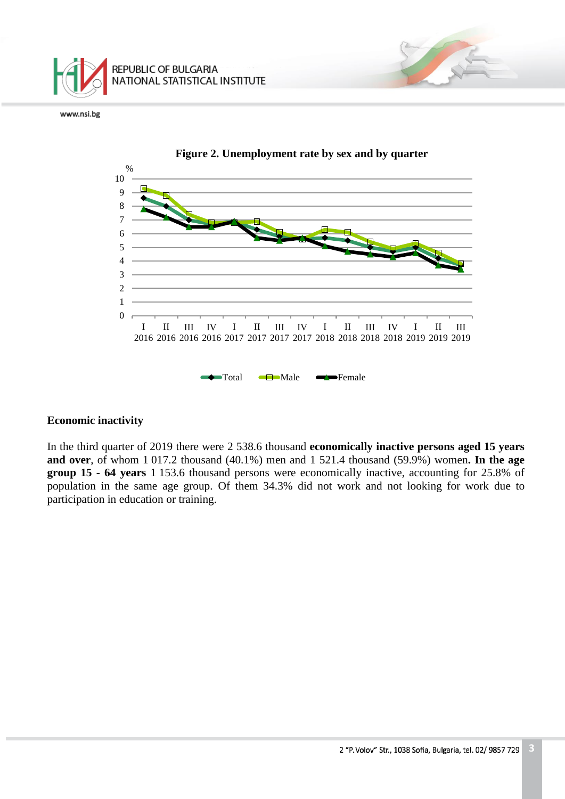



**Figure 2. Unemployment rate by sex and by quarter**

#### **Economic inactivity**

In the third quarter of 2019 there were 2 538.6 thousand **economically inactive persons aged 15 years and over**, of whom 1 017.2 thousand (40.1%) men and 1 521.4 thousand (59.9%) women**. In the age group 15 - 64 years** 1 153.6 thousand persons were economically inactive, accounting for 25.8% of population in the same age group. Of them 34.3% did not work and not looking for work due to participation in education or training.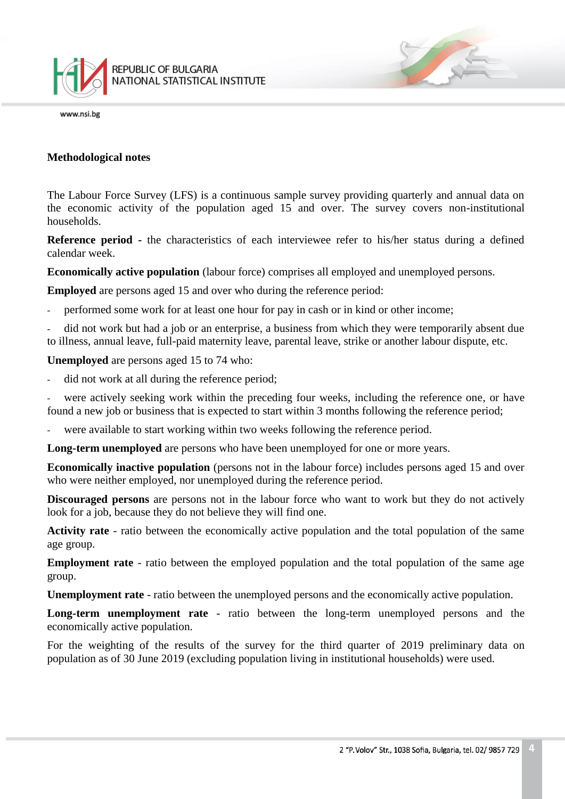

#### **Methodological notes**

The Labour Force Survey (LFS) is a continuous sample survey providing quarterly and annual data on the economic activity of the population aged 15 and over. The survey covers non-institutional households.

**Reference period -** the characteristics of each interviewee refer to his/her status during a defined calendar week.

**Economically active population** (labour force) comprises all employed and unemployed persons.

**Employed** are persons aged 15 and over who during the reference period:

performed some work for at least one hour for pay in cash or in kind or other income;

did not work but had a job or an enterprise, a business from which they were temporarily absent due to illness, annual leave, full-paid maternity leave, parental leave, strike or another labour dispute, etc.

**Unemployed** are persons aged 15 to 74 who:

did not work at all during the reference period;

were actively seeking work within the preceding four weeks, including the reference one, or have found a new job or business that is expected to start within 3 months following the reference period;

were available to start working within two weeks following the reference period.

**Long-term unemployed** are persons who have been unemployed for one or more years.

**Economically inactive population** (persons not in the labour force) includes persons aged 15 and over who were neither employed, nor unemployed during the reference period.

**Discouraged persons** are persons not in the labour force who want to work but they do not actively look for a job, because they do not believe they will find one.

**Activity rate** - ratio between the economically active population and the total population of the same age group.

**Employment rate** - ratio between the employed population and the total population of the same age group.

**Unemployment rate** - ratio between the unemployed persons and the economically active population.

**Long-term unemployment rate** - ratio between the long-term unemployed persons and the economically active population.

For the weighting of the results of the survey for the third quarter of 2019 preliminary data on population as of 30 June 2019 (excluding population living in institutional households) were used.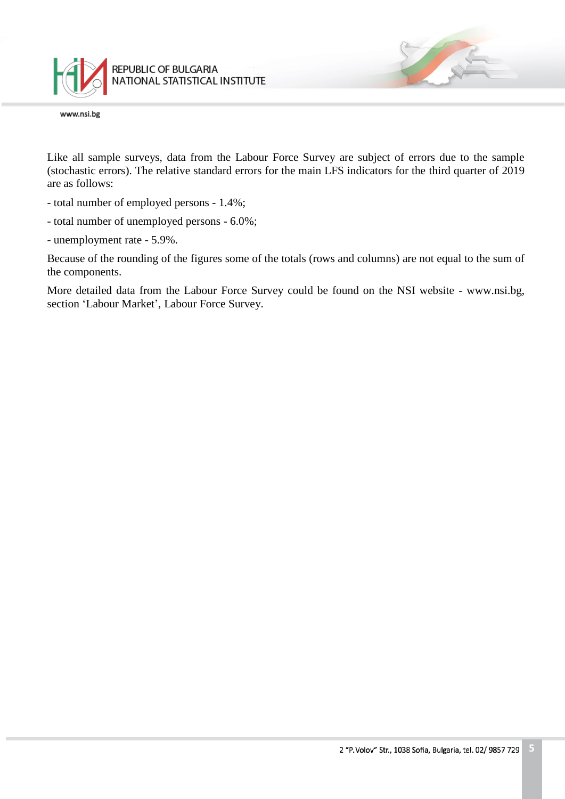

Like all sample surveys, data from the Labour Force Survey are subject of errors due to the sample (stochastic errors). The relative standard errors for the main LFS indicators for the third quarter of 2019 are as follows:

- total number of employed persons 1.4%;
- total number of unemployed persons 6.0%;
- unemployment rate 5.9%.

Because of the rounding of the figures some of the totals (rows and columns) are not equal to the sum of the components.

More detailed data from the Labour Force Survey could be found on the NSI website - www.nsi.bg, section 'Labour Market', Labour Force Survey.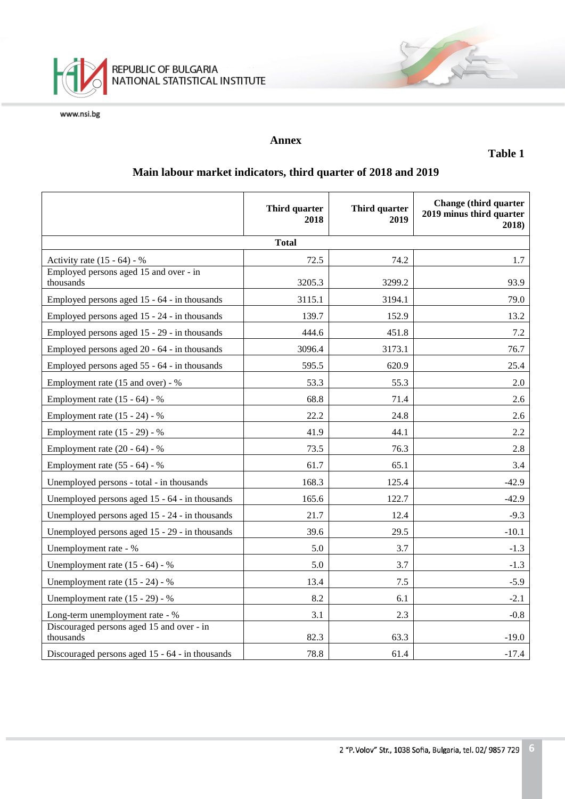

### **Annex**

**Table 1**

# **Main labour market indicators, third quarter of 2018 and 2019**

|                                                        | Third quarter<br>2018 | Third quarter<br>2019 | <b>Change</b> (third quarter<br>2019 minus third quarter<br>2018) |  |  |  |
|--------------------------------------------------------|-----------------------|-----------------------|-------------------------------------------------------------------|--|--|--|
| <b>Total</b>                                           |                       |                       |                                                                   |  |  |  |
| Activity rate $(15 - 64) - %$                          | 72.5                  | 74.2                  | 1.7                                                               |  |  |  |
| Employed persons aged 15 and over - in<br>thousands    | 3205.3                | 3299.2                | 93.9                                                              |  |  |  |
| Employed persons aged 15 - 64 - in thousands           | 3115.1                | 3194.1                | 79.0                                                              |  |  |  |
| Employed persons aged 15 - 24 - in thousands           | 139.7                 | 152.9                 | 13.2                                                              |  |  |  |
| Employed persons aged 15 - 29 - in thousands           | 444.6                 | 451.8                 | 7.2                                                               |  |  |  |
| Employed persons aged 20 - 64 - in thousands           | 3096.4                | 3173.1                | 76.7                                                              |  |  |  |
| Employed persons aged 55 - 64 - in thousands           | 595.5                 | 620.9                 | 25.4                                                              |  |  |  |
| Employment rate (15 and over) - %                      | 53.3                  | 55.3                  | 2.0                                                               |  |  |  |
| Employment rate $(15 - 64) - %$                        | 68.8                  | 71.4                  | 2.6                                                               |  |  |  |
| Employment rate (15 - 24) - %                          | 22.2                  | 24.8                  | 2.6                                                               |  |  |  |
| Employment rate (15 - 29) - %                          | 41.9                  | 44.1                  | 2.2                                                               |  |  |  |
| Employment rate $(20 - 64) - %$                        | 73.5                  | 76.3                  | 2.8                                                               |  |  |  |
| Employment rate $(55 - 64) - %$                        | 61.7                  | 65.1                  | 3.4                                                               |  |  |  |
| Unemployed persons - total - in thousands              | 168.3                 | 125.4                 | $-42.9$                                                           |  |  |  |
| Unemployed persons aged 15 - 64 - in thousands         | 165.6                 | 122.7                 | $-42.9$                                                           |  |  |  |
| Unemployed persons aged 15 - 24 - in thousands         | 21.7                  | 12.4                  | $-9.3$                                                            |  |  |  |
| Unemployed persons aged 15 - 29 - in thousands         | 39.6                  | 29.5                  | $-10.1$                                                           |  |  |  |
| Unemployment rate - %                                  | 5.0                   | 3.7                   | $-1.3$                                                            |  |  |  |
| Unemployment rate $(15 - 64) - %$                      | 5.0                   | 3.7                   | $-1.3$                                                            |  |  |  |
| Unemployment rate (15 - 24) - %                        | 13.4                  | 7.5                   | $-5.9$                                                            |  |  |  |
| Unemployment rate (15 - 29) - %                        | 8.2                   | 6.1                   | $-2.1$                                                            |  |  |  |
| Long-term unemployment rate - %                        | 3.1                   | 2.3                   | $-0.8$                                                            |  |  |  |
| Discouraged persons aged 15 and over - in<br>thousands | 82.3                  | 63.3                  | $-19.0$                                                           |  |  |  |
| Discouraged persons aged 15 - 64 - in thousands        | 78.8                  | 61.4                  | $-17.4$                                                           |  |  |  |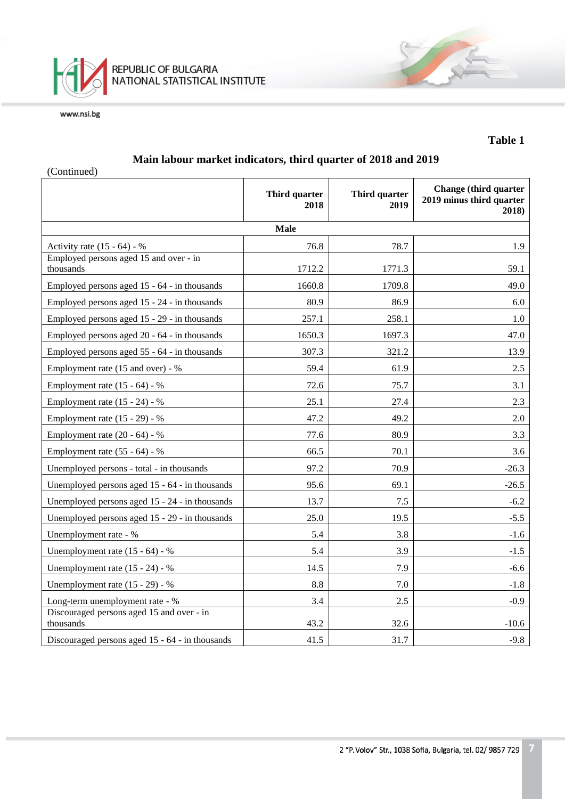

#### **Table 1**

## **Main labour market indicators, third quarter of 2018 and 2019**

(Continued)

|                                                        | Third quarter<br>2018 | Third quarter<br>2019 | <b>Change</b> (third quarter<br>2019 minus third quarter<br>2018) |  |  |
|--------------------------------------------------------|-----------------------|-----------------------|-------------------------------------------------------------------|--|--|
| <b>Male</b>                                            |                       |                       |                                                                   |  |  |
| Activity rate $(15 - 64) - %$                          | 76.8                  | 78.7                  | 1.9                                                               |  |  |
| Employed persons aged 15 and over - in<br>thousands    | 1712.2                | 1771.3                | 59.1                                                              |  |  |
| Employed persons aged 15 - 64 - in thousands           | 1660.8                | 1709.8                | 49.0                                                              |  |  |
| Employed persons aged 15 - 24 - in thousands           | 80.9                  | 86.9                  | 6.0                                                               |  |  |
| Employed persons aged 15 - 29 - in thousands           | 257.1                 | 258.1                 | 1.0                                                               |  |  |
| Employed persons aged 20 - 64 - in thousands           | 1650.3                | 1697.3                | 47.0                                                              |  |  |
| Employed persons aged 55 - 64 - in thousands           | 307.3                 | 321.2                 | 13.9                                                              |  |  |
| Employment rate (15 and over) - %                      | 59.4                  | 61.9                  | 2.5                                                               |  |  |
| Employment rate $(15 - 64) - %$                        | 72.6                  | 75.7                  | 3.1                                                               |  |  |
| Employment rate (15 - 24) - %                          | 25.1                  | 27.4                  | 2.3                                                               |  |  |
| Employment rate (15 - 29) - %                          | 47.2                  | 49.2                  | 2.0                                                               |  |  |
| Employment rate $(20 - 64) - %$                        | 77.6                  | 80.9                  | 3.3                                                               |  |  |
| Employment rate $(55 - 64) - %$                        | 66.5                  | 70.1                  | 3.6                                                               |  |  |
| Unemployed persons - total - in thousands              | 97.2                  | 70.9                  | $-26.3$                                                           |  |  |
| Unemployed persons aged 15 - 64 - in thousands         | 95.6                  | 69.1                  | $-26.5$                                                           |  |  |
| Unemployed persons aged 15 - 24 - in thousands         | 13.7                  | 7.5                   | $-6.2$                                                            |  |  |
| Unemployed persons aged 15 - 29 - in thousands         | 25.0                  | 19.5                  | $-5.5$                                                            |  |  |
| Unemployment rate - %                                  | 5.4                   | 3.8                   | $-1.6$                                                            |  |  |
| Unemployment rate $(15 - 64) - %$                      | 5.4                   | 3.9                   | $-1.5$                                                            |  |  |
| Unemployment rate $(15 - 24)$ - %                      | 14.5                  | 7.9                   | $-6.6$                                                            |  |  |
| Unemployment rate (15 - 29) - %                        | 8.8                   | 7.0                   | $-1.8$                                                            |  |  |
| Long-term unemployment rate - %                        | 3.4                   | 2.5                   | $-0.9$                                                            |  |  |
| Discouraged persons aged 15 and over - in<br>thousands | 43.2                  | 32.6                  | $-10.6$                                                           |  |  |
| Discouraged persons aged 15 - 64 - in thousands        | 41.5                  | 31.7                  | $-9.8$                                                            |  |  |